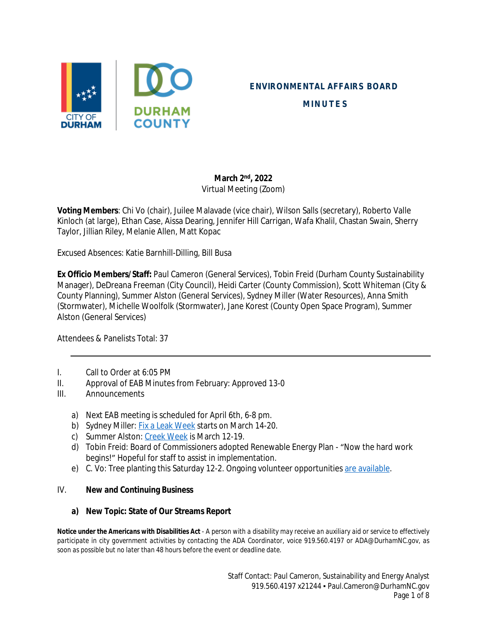

## **ENVIRONMENTAL AFFAIRS BOARD**

**MINUTES**

## **March 2 nd, 2022** Virtual Meeting (Zoom)

**Voting Members**: Chi Vo (chair), Juilee Malavade (vice chair), Wilson Salls (secretary), Roberto Valle Kinloch (at large), Ethan Case, Aissa Dearing, Jennifer Hill Carrigan, Wafa Khalil, Chastan Swain, Sherry Taylor, Jillian Riley, Melanie Allen, Matt Kopac

Excused Absences: Katie Barnhill-Dilling, Bill Busa

**Ex Officio Members/Staff:** Paul Cameron (General Services), Tobin Freid (Durham County Sustainability Manager), DeDreana Freeman (City Council), Heidi Carter (County Commission), Scott Whiteman (City & County Planning), Summer Alston (General Services), Sydney Miller (Water Resources), Anna Smith (Stormwater), Michelle Woolfolk (Stormwater), Jane Korest (County Open Space Program), Summer Alston (General Services)

Attendees & Panelists Total: 37

- I. Call to Order at 6:05 PM
- II. Approval of EAB Minutes from February: Approved 13-0
- III. Announcements
	- a) Next EAB meeting is scheduled for April 6th, 6-8 pm.
	- b) Sydney Miller: [Fix a Leak Week](https://www.durhamnc.gov/1061/Durham-Saves-Water) starts on March 14-20.
	- c) Summer Alston: [Creek Week](https://keepdurhambeautiful.org/creek-week) is March 12-19.
	- d) Tobin Freid: Board of Commissioners adopted Renewable Energy Plan "Now the hard work begins!" Hopeful for staff to assist in implementation.
	- e) C. Vo: Tree planting this Saturday 12-2. Ongoing volunteer opportunities [are available](https://keepdurhambeautiful.org/tree-planting/).

#### IV. **New and Continuing Business**

#### **a) New Topic: State of Our Streams Report**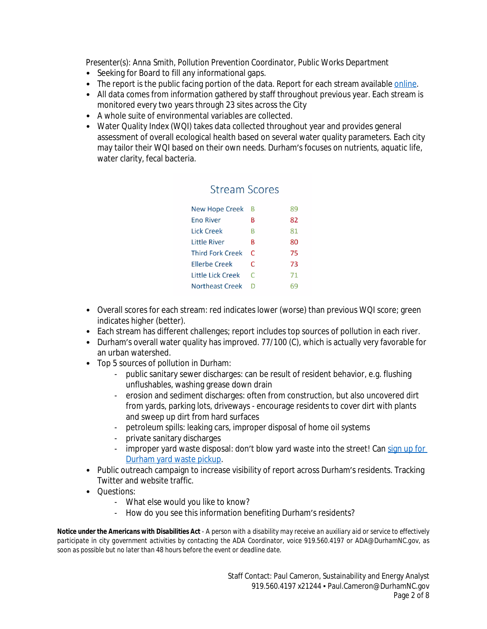*Presenter(s): Anna Smith, Pollution Prevention Coordinator, Public Works Department*

- Seeking for Board to fill any informational gaps.
- The report is the public facing portion of the data. Report for each stream available [online.](http://durhamnc.gov/4648)
- All data comes from information gathered by staff throughout previous year. Each stream is monitored every two years through 23 sites across the City
- A whole suite of environmental variables are collected.
- Water Quality Index (WQI) takes data collected throughout year and provides general assessment of overall ecological health based on several water quality parameters. Each city may tailor their WQI based on their own needs. Durham's focuses on nutrients, aquatic life, water clarity, fecal bacteria.

# Stream Scores

| <b>New Hope Creek</b>   | B | 89 |
|-------------------------|---|----|
| <b>Eno River</b>        | В | 82 |
| Lick Creek              | в | 81 |
| <b>Little River</b>     | в | 80 |
| <b>Third Fork Creek</b> | C | 75 |
| <b>Ellerbe Creek</b>    | C | 73 |
| Little Lick Creek       | C | 71 |
| Northeast Creek         | D |    |

- Overall scores for each stream: red indicates lower (worse) than previous WQI score; green indicates higher (better).
- Each stream has different challenges; report includes top sources of pollution in each river.
- Durham's overall water quality has improved. 77/100 (C), which is actually very favorable for an urban watershed.
- Top 5 sources of pollution in Durham:
	- public sanitary sewer discharges: can be result of resident behavior, e.g. flushing unflushables, washing grease down drain
	- erosion and sediment discharges: often from construction, but also uncovered dirt from yards, parking lots, driveways - encourage residents to cover dirt with plants and sweep up dirt from hard surfaces
	- petroleum spills: leaking cars, improper disposal of home oil systems
	- private sanitary discharges
	- improper yard waste disposal: don't blow yard waste into the street! Can sign up for Durham yard waste pickup.
- Public outreach campaign to increase visibility of report across Durham's residents. Tracking Twitter and website traffic.
- **Questions:** 
	- What else would you like to know?
	- How do you see this information benefiting Durham's residents?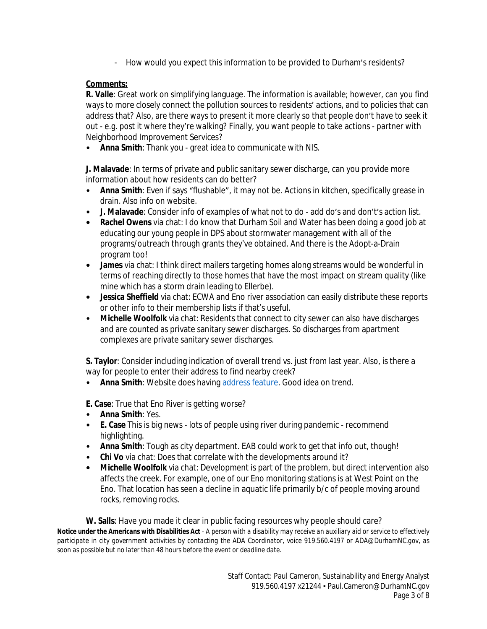- How would you expect this information to be provided to Durham's residents?

# **Comments:**

**R. Valle**: Great work on simplifying language. The information is available; however, can you find ways to more closely connect the pollution sources to residents' actions, and to policies that can address that? Also, are there ways to present it more clearly so that people don't have to seek it out - e.g. post it where they're walking? Finally, you want people to take actions - partner with Neighborhood Improvement Services?

• **Anna Smith**: Thank you - great idea to communicate with NIS.

**J. Malavade**: In terms of private and public sanitary sewer discharge, can you provide more information about how residents can do better?

- **Anna Smith**: Even if says "flushable", it may not be. Actions in kitchen, specifically grease in drain. Also info on website.
- **J. Malavade**: Consider info of examples of what not to do add do's and don't's action list.
- **• Rachel Owens** via chat: I do know that Durham Soil and Water has been doing a good job at educating our young people in DPS about stormwater management with all of the programs/outreach through grants they've obtained. And there is the Adopt-a-Drain program too!
- **• James** via chat: I think direct mailers targeting homes along streams would be wonderful in terms of reaching directly to those homes that have the most impact on stream quality (like mine which has a storm drain leading to Ellerbe).
- **• Jessica Sheffield** via chat: ECWA and Eno river association can easily distribute these reports or other info to their membership lists if that's useful.
- **Michelle Woolfolk** via chat: Residents that connect to city sewer can also have discharges and are counted as private sanitary sewer discharges. So discharges from apartment complexes are private sanitary sewer discharges.

**S. Taylor**: Consider including indication of overall trend vs. just from last year. Also, is there a way for people to enter their address to find nearby creek?

• **Anna Smith**: Website does having [address feature.](https://www.durhamnc.gov/706/Find-Your-Watershed) Good idea on trend.

**E. Case**: True that Eno River is getting worse?

- **Anna Smith**: Yes.
- **E. Case** This is big news lots of people using river during pandemic recommend highlighting.
- **Anna Smith**: Tough as city department. EAB could work to get that info out, though!
- **Chi Vo** via chat: Does that correlate with the developments around it?
- **• Michelle Woolfolk** via chat: Development is part of the problem, but direct intervention also affects the creek. For example, one of our Eno monitoring stations is at West Point on the Eno. That location has seen a decline in aquatic life primarily b/c of people moving around rocks, removing rocks.

Notice under the Americans with Disabilities Act - A person with a disability may receive an auxiliary aid or service to effectively *participate in city government activities by contacting the ADA Coordinator, voice 919.560.4197 or ADA@DurhamNC.gov, as soon as possible but no later than 48 hours before the event or deadline date.* **W. Salls**: Have you made it clear in public facing resources why people should care?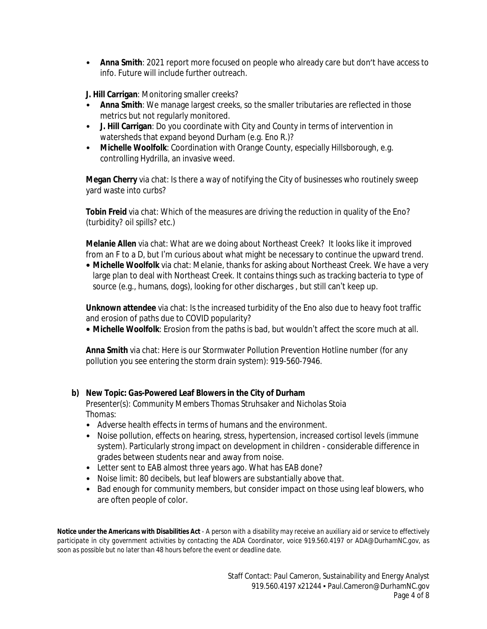• **Anna Smith**: 2021 report more focused on people who already care but don't have access to info. Future will include further outreach.

**J. Hill Carrigan**: Monitoring smaller creeks?

- **Anna Smith**: We manage largest creeks, so the smaller tributaries are reflected in those metrics but not regularly monitored.
- **J. Hill Carrigan**: Do you coordinate with City and County in terms of intervention in watersheds that expand beyond Durham (e.g. Eno R.)?
- **Michelle Woolfolk**: Coordination with Orange County, especially Hillsborough, e.g. controlling Hydrilla, an invasive weed.

**Megan Cherry** via chat: Is there a way of notifying the City of businesses who routinely sweep yard waste into curbs?

**Tobin Freid** via chat: Which of the measures are driving the reduction in quality of the Eno? (turbidity? oil spills? etc.)

**Melanie Allen** via chat: What are we doing about Northeast Creek? It looks like it improved from an F to a D, but I'm curious about what might be necessary to continue the upward trend.

**• Michelle Woolfolk** via chat: Melanie, thanks for asking about Northeast Creek. We have a very large plan to deal with Northeast Creek. It contains things such as tracking bacteria to type of source (e.g., humans, dogs), looking for other discharges , but still can't keep up.

**Unknown attendee** via chat: Is the increased turbidity of the Eno also due to heavy foot traffic and erosion of paths due to COVID popularity?

**• Michelle Woolfolk**: Erosion from the paths is bad, but wouldn't affect the score much at all.

**Anna Smith** via chat: Here is our Stormwater Pollution Prevention Hotline number (for any pollution you see entering the storm drain system): 919-560-7946.

# **b) New Topic: Gas-Powered Leaf Blowers in the City of Durham**

*Presenter(s): Community Members Thomas Struhsaker and Nicholas Stoia Thomas:*

- Adverse health effects in terms of humans and the environment.
- Noise pollution, effects on hearing, stress, hypertension, increased cortisol levels (immune system). Particularly strong impact on development in children - considerable difference in grades between students near and away from noise.
- Letter sent to EAB almost three years ago. What has EAB done?
- Noise limit: 80 decibels, but leaf blowers are substantially above that.
- Bad enough for community members, but consider impact on those using leaf blowers, who are often people of color.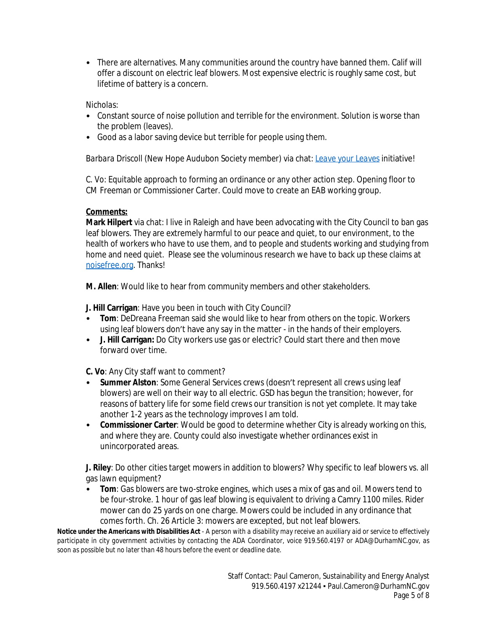• There are alternatives. Many communities around the country have banned them. Calif will offer a discount on electric leaf blowers. Most expensive electric is roughly same cost, but lifetime of battery is a concern.

## *Nicholas:*

- Constant source of noise pollution and terrible for the environment. Solution is worse than the problem (leaves).
- Good as a labor saving device but terrible for people using them.

*Barbara Driscoll* (New Hope Audubon Society member) via chat: *[Leave your Leaves](https://keepdurhambeautiful.org/leaveyourleaves)* initiative!

*C. Vo*: Equitable approach to forming an ordinance or any other action step. Opening floor to CM Freeman or Commissioner Carter. Could move to create an EAB working group.

# **Comments:**

**Mark Hilpert** via chat: I live in Raleigh and have been advocating with the City Council to ban gas leaf blowers. They are extremely harmful to our peace and quiet, to our environment, to the health of workers who have to use them, and to people and students working and studying from home and need quiet. Please see the voluminous research we have to back up these claims at [noisefree.org.](http://noisefree.org) Thanks!

**M. Allen**: Would like to hear from community members and other stakeholders.

**J. Hill Carrigan**: Have you been in touch with City Council?

- **Tom**: DeDreana Freeman said she would like to hear from others on the topic. Workers using leaf blowers don't have any say in the matter - in the hands of their employers.
- **J. Hill Carrigan:** Do City workers use gas or electric? Could start there and then move forward over time.

**C. Vo**: Any City staff want to comment?

- **Summer Alston**: Some General Services crews (doesn't represent all crews using leaf blowers) are well on their way to all electric. GSD has begun the transition; however, for reasons of battery life for some field crews our transition is not yet complete. It may take another 1-2 years as the technology improves I am told.
- **Commissioner Carter**: Would be good to determine whether City is already working on this, and where they are. County could also investigate whether ordinances exist in unincorporated areas.

**J. Riley**: Do other cities target mowers in addition to blowers? Why specific to leaf blowers vs. all gas lawn equipment?

• **Tom**: Gas blowers are two-stroke engines, which uses a mix of gas and oil. Mowers tend to be four-stroke. 1 hour of gas leaf blowing is equivalent to driving a Camry 1100 miles. Rider mower can do 25 yards on one charge. Mowers could be included in any ordinance that comes forth. Ch. 26 Article 3: mowers are excepted, but not leaf blowers.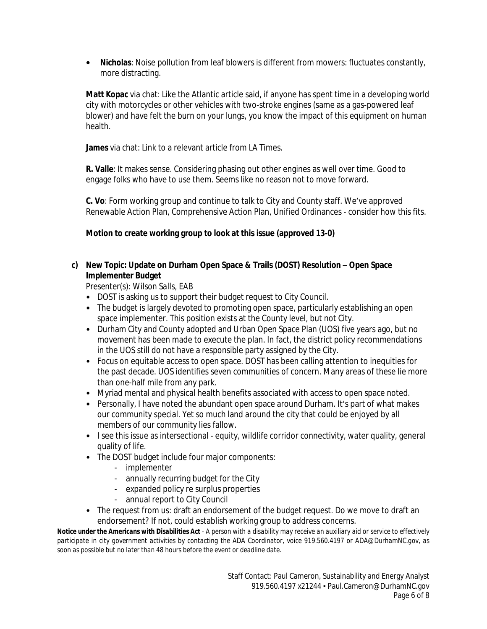**• Nicholas**: Noise pollution from leaf blowers is different from mowers: fluctuates constantly, more distracting.

**Matt Kopac** via chat: Like [the Atlantic article](https://www.theatlantic.com/magazine/archive/2019/04/james-fallows-leaf-blower-ban/583210/) said, if anyone has spent time in a developing world city with motorcycles or other vehicles with two-stroke engines (same as a gas-powered leaf blower) and have felt the burn on your lungs, you know the impact of this equipment on human health.

**James** via chat: Link to [a relevant article](https://www.latimes.com/california/story/2021-10-09/california-moves-toward-ban-on-gas-lawnmowers-and-leaf-blowers) from LA Times.

**R. Valle**: It makes sense. Considering phasing out other engines as well over time. Good to engage folks who have to use them. Seems like no reason not to move forward.

**C. Vo**: Form working group and continue to talk to City and County staff. We've approved Renewable Action Plan, Comprehensive Action Plan, Unified Ordinances - consider how this fits.

# **Motion to create working group to look at this issue (approved 13-0)**

# **c) New Topic: Update on Durham Open Space & Trails (DOST) Resolution – Open Space Implementer Budget**

*Presenter(s): Wilson Salls, EAB*

- DOST is asking us to support their budget request to City Council.
- The budget is largely devoted to promoting open space, particularly establishing an open space implementer. This position exists at the County level, but not City.
- Durham City and County adopted and Urban Open Space Plan (UOS) five years ago, but no movement has been made to execute the plan. In fact, the district policy recommendations in the UOS still do not have a responsible party assigned by the City.
- Focus on equitable access to open space. DOST has been calling attention to inequities for the past decade. UOS identifies seven communities of concern. Many areas of these lie more than one-half mile from any park.
- Myriad mental and physical health benefits associated with access to open space noted.
- Personally, I have noted the abundant open space around Durham. It's part of what makes our community special. Yet so much land around the city that could be enjoyed by all members of our community lies fallow.
- I see this issue as intersectional equity, wildlife corridor connectivity, water quality, general quality of life.
- The DOST budget include four major components:
	- implementer
	- annually recurring budget for the City
	- expanded policy re surplus properties
	- annual report to City Council
- The request from us: draft an endorsement of the budget request. Do we move to draft an endorsement? If not, could establish working group to address concerns.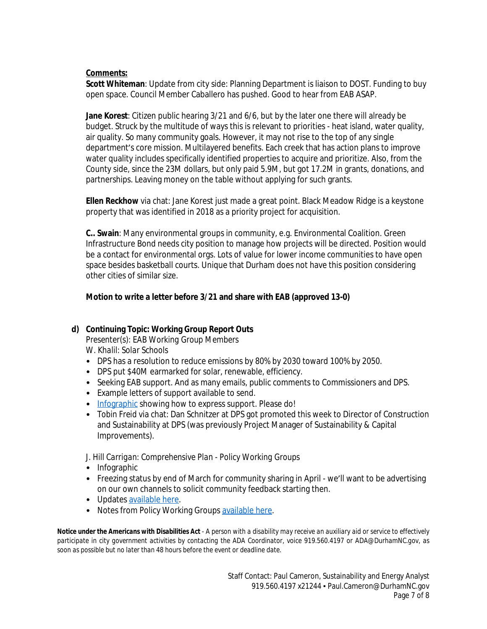## **Comments:**

**Scott Whiteman**: Update from city side: Planning Department is liaison to DOST. Funding to buy open space. Council Member Caballero has pushed. Good to hear from EAB ASAP.

**Jane Korest**: Citizen public hearing 3/21 and 6/6, but by the later one there will already be budget. Struck by the multitude of ways this is relevant to priorities - heat island, water quality, air quality. So many community goals. However, it may not rise to the top of any single department's core mission. Multilayered benefits. Each creek that has action plans to improve water quality includes specifically identified properties to acquire and prioritize. Also, from the County side, since the 23M dollars, but only paid 5.9M, but got 17.2M in grants, donations, and partnerships. Leaving money on the table without applying for such grants.

**Ellen Reckhow** via chat: Jane Korest just made a great point. Black Meadow Ridge is a keystone property that was identified in 2018 as a priority project for acquisition.

**C.. Swain**: Many environmental groups in community, e.g. Environmental Coalition. Green Infrastructure Bond needs city position to manage how projects will be directed. Position would be a contact for environmental orgs. Lots of value for lower income communities to have open space besides basketball courts. Unique that Durham does not have this position considering other cities of similar size.

## **Motion to write a letter before 3/21 and share with EAB (approved 13-0)**

# **d) Continuing Topic: Working Group Report Outs**

*Presenter(s): EAB Working Group Members W. Khalil: Solar Schools*

- DPS has a resolution to reduce emissions by 80% by 2030 toward 100% by 2050.
- DPS put \$40M earmarked for solar, renewable, efficiency.
- Seeking EAB support. And as many emails, public comments to Commissioners and DPS.
- Example letters of support available to send.
- [Infographic](https://www.canva.com/design/DAE5mueRnFc/HsE1AcRPy-TGg62PnbKDaQ/view?) showing how to express support. Please do!
- *Tobin Freid* via chat: Dan Schnitzer at DPS got promoted this week to Director of Construction and Sustainability at DPS (was previously Project Manager of Sustainability & Capital Improvements).

*J. Hill Carrigan: Comprehensive Plan - Policy Working Groups*

- Infographic
- Freezing status by end of March for community sharing in April we'll want to be advertising on our own channels to solicit community feedback starting then.
- Updates [available here.](https://engagedurham.com/comprehensive-plan/)
- Notes from Policy Working Groups [available here.](https://engagedurham.com/policy_working_groups/)